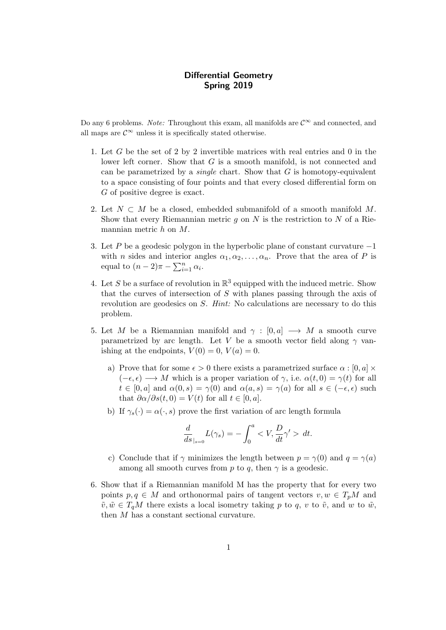## Differential Geometry Spring 2019

Do any 6 problems. Note: Throughout this exam, all manifolds are  $\mathcal{C}^{\infty}$  and connected, and all maps are  $\mathcal{C}^{\infty}$  unless it is specifically stated otherwise.

- 1. Let G be the set of 2 by 2 invertible matrices with real entries and 0 in the lower left corner. Show that  $G$  is a smooth manifold, is not connected and can be parametrized by a *single* chart. Show that  $G$  is homotopy-equivalent to a space consisting of four points and that every closed differential form on G of positive degree is exact.
- 2. Let  $N \subset M$  be a closed, embedded submanifold of a smooth manifold M. Show that every Riemannian metric  $g$  on  $N$  is the restriction to  $N$  of a Riemannian metric h on M.
- 3. Let P be a geodesic polygon in the hyperbolic plane of constant curvature −1 with *n* sides and interior angles  $\alpha_1, \alpha_2, \ldots, \alpha_n$ . Prove that the area of *P* is equal to  $(n-2)\pi - \sum_{i=1}^n \alpha_i$ .
- 4. Let S be a surface of revolution in  $\mathbb{R}^3$  equipped with the induced metric. Show that the curves of intersection of  $S$  with planes passing through the axis of revolution are geodesics on S. Hint: No calculations are necessary to do this problem.
- 5. Let M be a Riemannian manifold and  $\gamma : [0, a] \longrightarrow M$  a smooth curve parametrized by arc length. Let V be a smooth vector field along  $\gamma$  vanishing at the endpoints,  $V(0) = 0$ ,  $V(a) = 0$ .
	- a) Prove that for some  $\epsilon > 0$  there exists a parametrized surface  $\alpha : [0, a] \times$  $(-\epsilon, \epsilon) \longrightarrow M$  which is a proper variation of  $\gamma$ , i.e.  $\alpha(t, 0) = \gamma(t)$  for all  $t \in [0, a]$  and  $\alpha(0, s) = \gamma(0)$  and  $\alpha(a, s) = \gamma(a)$  for all  $s \in (-\epsilon, \epsilon)$  such that  $\partial \alpha / \partial s(t, 0) = V(t)$  for all  $t \in [0, a]$ .
	- b) If  $\gamma_s(\cdot) = \alpha(\cdot, s)$  prove the first variation of arc length formula

$$
\frac{d}{ds}_{|s=0}L(\gamma_s) = -\int_0^a < V, \frac{D}{dt}\gamma' > dt.
$$

- c) Conclude that if  $\gamma$  minimizes the length between  $p = \gamma(0)$  and  $q = \gamma(a)$ among all smooth curves from p to q, then  $\gamma$  is a geodesic.
- 6. Show that if a Riemannian manifold M has the property that for every two points  $p, q \in M$  and orthonormal pairs of tangent vectors  $v, w \in T_nM$  and  $\tilde{v}, \tilde{w} \in T_qM$  there exists a local isometry taking p to q, v to  $\tilde{v}$ , and w to  $\tilde{w}$ , then M has a constant sectional curvature.